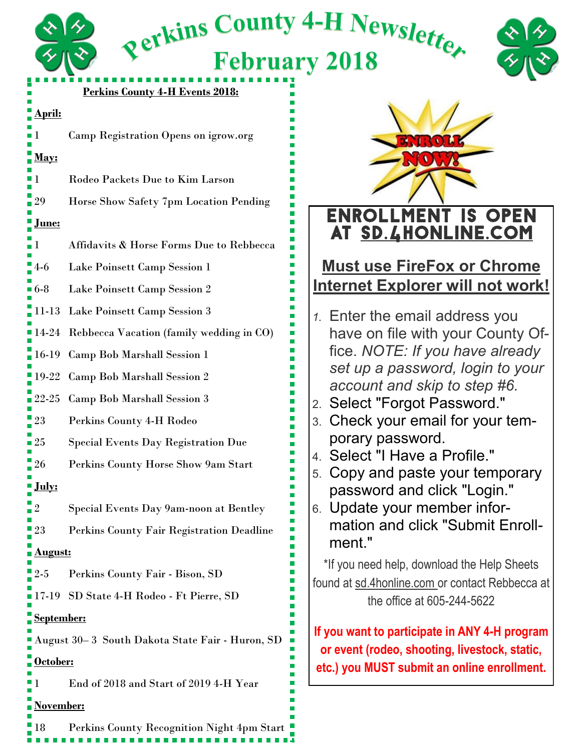

#### **Perkins County 4-H Events 2018:**

Refkins County 4-H Newsletter

**February 2018** 

#### **April:**

**1 Camp Registration Opens on igrow.org** 

## **May:**

- 1 Rodeo Packets Due to Kim Larson
- 29 Horse Show Safety 7pm Location Pending

### **June:**

- 1 Affidavits & Horse Forms Due to Rebbecca
- 4-6 Lake Poinsett Camp Session 1
- 6-8 Lake Poinsett Camp Session 2
- 11-13 Lake Poinsett Camp Session 3
- 14-24 Rebbecca Vacation (family wedding in CO)
- 16-19 Camp Bob Marshall Session 1
- 19-22 Camp Bob Marshall Session 2
- 22-25 Camp Bob Marshall Session 3
- 23 Perkins County 4-H Rodeo
- 25 Special Events Day Registration Due
- 26 Perkins County Horse Show 9am Start

## **July:**

- 2 Special Events Day 9am-noon at Bentley
- 23 Perkins County Fair Registration Deadline

## **August:**

- 2-5 Perkins County Fair Bison, SD
- 17-19 SD State 4-H Rodeo Ft Pierre, SD

## **September:**

August 30– 3 South Dakota State Fair - Huron, SD

## **October:**

1 End of 2018 and Start of 2019 4-H Year

## **November:**

18 Perkins County Recognition Night 4pm Start



# Enrollment is open at sd.4honline.com

# **Must use FireFox or Chrome Internet Explorer will not work!**

- *1.* Enter the email address you have on file with your County Office. *NOTE: If you have already set up a password, login to your account and skip to step #6.*
- 2. Select "Forgot Password."
- 3. Check your email for your temporary password.
- 4. Select "I Have a Profile."
- 5. Copy and paste your temporary password and click "Login."
- 6. Update your member information and click "Submit Enrollment."

\*If you need help, download the Help Sheets found at sd.4honline.com or contact Rebbecca at the office at 605-244-5622

**If you want to participate in ANY 4-H program or event (rodeo, shooting, livestock, static, etc.) you MUST submit an online enrollment.**